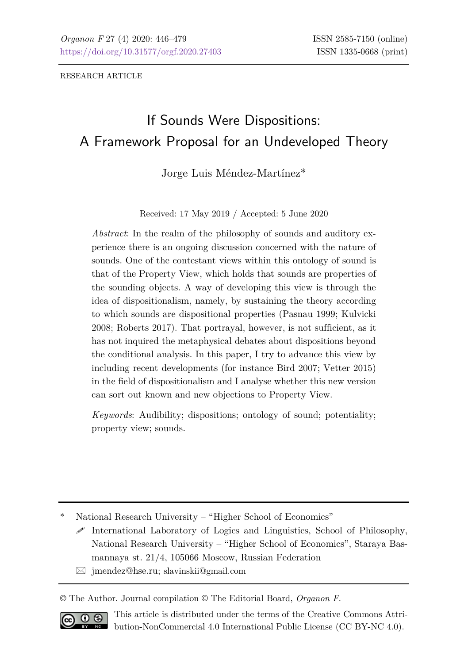RESEARCH ARTICLE

# If Sounds Were Dispositions: A Framework Proposal for an Undeveloped Theory

Jorge Luis Méndez-Martínez\*

Received: 17 May 2019 / Accepted: 5 June 2020

*Abstract*: In the realm of the philosophy of sounds and auditory experience there is an ongoing discussion concerned with the nature of sounds. One of the contestant views within this ontology of sound is that of the Property View, which holds that sounds are properties of the sounding objects. A way of developing this view is through the idea of dispositionalism, namely, by sustaining the theory according to which sounds are dispositional properties (Pasnau 1999; Kulvicki 2008; Roberts 2017). That portrayal, however, is not sufficient, as it has not inquired the metaphysical debates about dispositions beyond the conditional analysis. In this paper, I try to advance this view by including recent developments (for instance Bird 2007; Vetter 2015) in the field of dispositionalism and I analyse whether this new version can sort out known and new objections to Property View.

*Keywords*: Audibility; dispositions; ontology of sound; potentiality; property view; sounds.

- National Research University "Higher School of Economics"
	- $\mathscr I$  International Laboratory of Logics and Linguistics, School of Philosophy, National Research University – "Higher School of Economics", [Staraya Bas](http://maps.google.ru/maps/ms?ie=UTF8&hl=ru&msa=0&msid=107802125041030857184.00044021f822deacd936a)[mannaya st. 21/4,](http://maps.google.ru/maps/ms?ie=UTF8&hl=ru&msa=0&msid=107802125041030857184.00044021f822deacd936a) 105066 Moscow, Russian Federation
	- $\boxtimes$  jmendez@hse.ru; slavinskii@gmail.com

© The Author. Journal compilation © The Editorial Board, *Organon F*.



This article is distributed under the terms of the Creative Commons Attribution-NonCommercial 4.0 International Public License (CC BY-NC 4.0).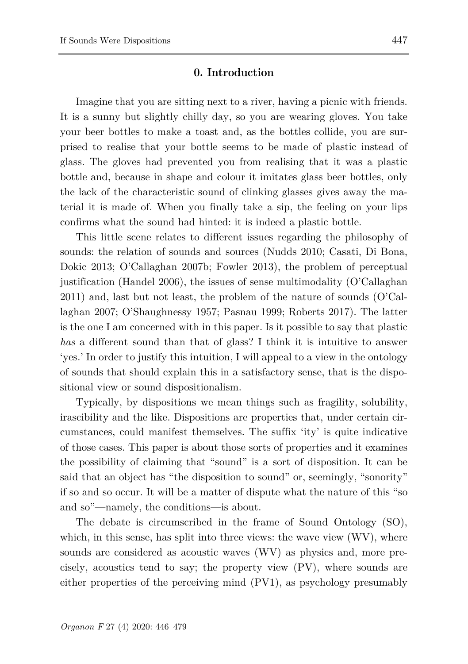## **0. Introduction**

Imagine that you are sitting next to a river, having a picnic with friends. It is a sunny but slightly chilly day, so you are wearing gloves. You take your beer bottles to make a toast and, as the bottles collide, you are surprised to realise that your bottle seems to be made of plastic instead of glass. The gloves had prevented you from realising that it was a plastic bottle and, because in shape and colour it imitates glass beer bottles, only the lack of the characteristic sound of clinking glasses gives away the material it is made of. When you finally take a sip, the feeling on your lips confirms what the sound had hinted: it is indeed a plastic bottle.

This little scene relates to different issues regarding the philosophy of sounds: the relation of sounds and sources (Nudds 2010; Casati, Di Bona, Dokic 2013; O'Callaghan 2007b; Fowler 2013), the problem of perceptual justification (Handel 2006), the issues of sense multimodality  $(O'Callaefhan)$ 2011) and, last but not least, the problem of the nature of sounds (O'Callaghan 2007; O'Shaughnessy 1957; Pasnau 1999; Roberts 2017). The latter is the one I am concerned with in this paper. Is it possible to say that plastic *has* a different sound than that of glass? I think it is intuitive to answer 'yes.' In order to justify this intuition, I will appeal to a view in the ontology of sounds that should explain this in a satisfactory sense, that is the dispositional view or sound dispositionalism.

Typically, by dispositions we mean things such as fragility, solubility, irascibility and the like. Dispositions are properties that, under certain circumstances, could manifest themselves. The suffix 'ity' is quite indicative of those cases. This paper is about those sorts of properties and it examines the possibility of claiming that "sound" is a sort of disposition. It can be said that an object has "the disposition to sound" or, seemingly, "sonority" if so and so occur. It will be a matter of dispute what the nature of this "so and so"—namely, the conditions—is about.

The debate is circumscribed in the frame of Sound Ontology (SO), which, in this sense, has split into three views: the wave view  $(WV)$ , where sounds are considered as acoustic waves (WV) as physics and, more precisely, acoustics tend to say; the property view (PV), where sounds are either properties of the perceiving mind (PV1), as psychology presumably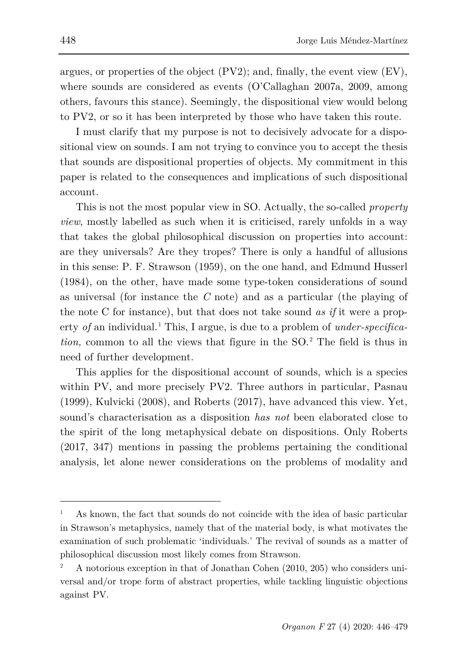argues, or properties of the object  $(PV2)$ ; and, finally, the event view  $(EV)$ , where sounds are considered as events (O'Callaghan 2007a, 2009, among others, favours this stance). Seemingly, the dispositional view would belong to PV2, or so it has been interpreted by those who have taken this route.

I must clarify that my purpose is not to decisively advocate for a dispositional view on sounds. I am not trying to convince you to accept the thesis that sounds are dispositional properties of objects. My commitment in this paper is related to the consequences and implications of such dispositional account.

This is not the most popular view in SO. Actually, the so-called *property view*, mostly labelled as such when it is criticised, rarely unfolds in a way that takes the global philosophical discussion on properties into account: are they universals? Are they tropes? There is only a handful of allusions in this sense: P. F. Strawson (1959), on the one hand, and Edmund Husserl (1984), on the other, have made some type-token considerations of sound as universal (for instance the *C* note) and as a particular (the playing of the note C for instance), but that does not take sound *as if* it were a property *of* an individual.<sup>[1](#page-2-0)</sup> This, I argue, is due to a problem of *under-specification,* common to all the views that figure in the SO.<sup>[2](#page-2-1)</sup> The field is thus in need of further development.

This applies for the dispositional account of sounds, which is a species within PV, and more precisely PV2. Three authors in particular, Pasnau (1999), Kulvicki (2008), and Roberts (2017), have advanced this view. Yet, sound's characterisation as a disposition *has not* been elaborated close to the spirit of the long metaphysical debate on dispositions. Only Roberts (2017, 347) mentions in passing the problems pertaining the conditional analysis, let alone newer considerations on the problems of modality and

<span id="page-2-0"></span><sup>1</sup> As known, the fact that sounds do not coincide with the idea of basic particular in Strawson's metaphysics, namely that of the material body, is what motivates the examination of such problematic 'individuals.' The revival of sounds as a matter of philosophical discussion most likely comes from Strawson.

<span id="page-2-1"></span><sup>2</sup> A notorious exception in that of Jonathan Cohen (2010, 205) who considers universal and/or trope form of abstract properties, while tackling linguistic objections against PV.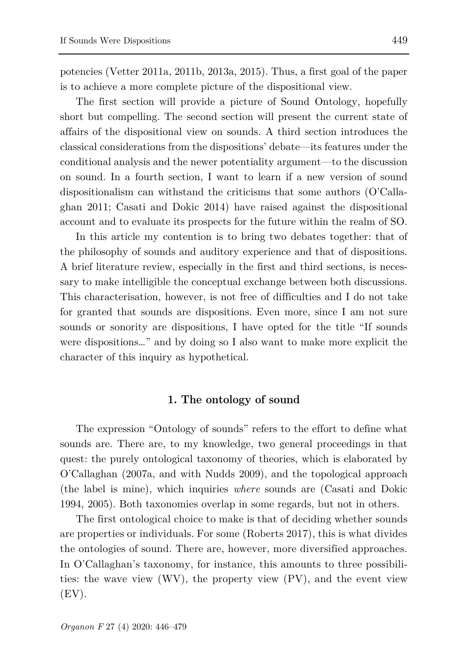potencies (Vetter 2011a, 2011b, 2013a, 2015). Thus, a first goal of the paper is to achieve a more complete picture of the dispositional view.

The first section will provide a picture of Sound Ontology, hopefully short but compelling. The second section will present the current state of affairs of the dispositional view on sounds. A third section introduces the classical considerations from the dispositions' debate—its features under the conditional analysis and the newer potentiality argument—to the discussion on sound. In a fourth section, I want to learn if a new version of sound dispositionalism can withstand the criticisms that some authors (O'Callaghan 2011; Casati and Dokic 2014) have raised against the dispositional account and to evaluate its prospects for the future within the realm of SO.

In this article my contention is to bring two debates together: that of the philosophy of sounds and auditory experience and that of dispositions. A brief literature review, especially in the first and third sections, is necessary to make intelligible the conceptual exchange between both discussions. This characterisation, however, is not free of difficulties and I do not take for granted that sounds are dispositions. Even more, since I am not sure sounds or sonority are dispositions, I have opted for the title "If sounds were dispositions…" and by doing so I also want to make more explicit the character of this inquiry as hypothetical.

## **1. The ontology of sound**

The expression "Ontology of sounds" refers to the effort to define what sounds are. There are, to my knowledge, two general proceedings in that quest: the purely ontological taxonomy of theories, which is elaborated by O'Callaghan (2007a, and with Nudds 2009), and the topological approach (the label is mine), which inquiries *where* sounds are (Casati and Dokic 1994, 2005). Both taxonomies overlap in some regards, but not in others.

The first ontological choice to make is that of deciding whether sounds are properties or individuals. For some (Roberts 2017), this is what divides the ontologies of sound. There are, however, more diversified approaches. In O'Callaghan's taxonomy, for instance, this amounts to three possibilities: the wave view (WV), the property view (PV), and the event view  $(EV)$ .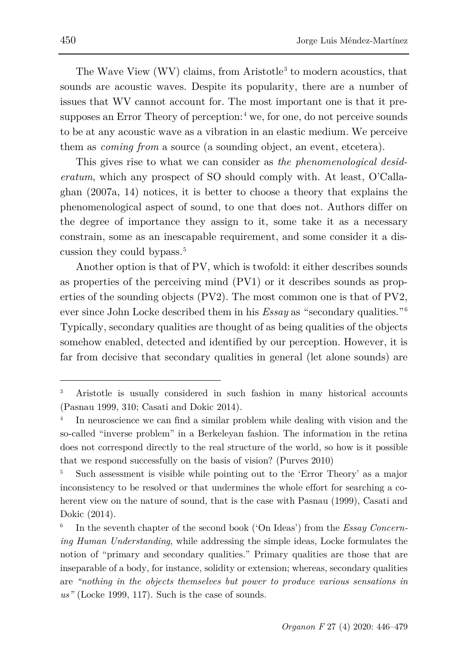The Wave View (WV) claims, from Aristotle<sup>[3](#page-4-0)</sup> to modern acoustics, that sounds are acoustic waves. Despite its popularity, there are a number of issues that WV cannot account for. The most important one is that it presupposes an Error Theory of perception: $4 \le \theta$  $4 \le \theta$ , for one, do not perceive sounds to be at any acoustic wave as a vibration in an elastic medium. We perceive them as *coming from* a source (a sounding object, an event, etcetera).

This gives rise to what we can consider as *the phenomenological desideratum*, which any prospect of SO should comply with. At least, O'Callaghan (2007a, 14) notices, it is better to choose a theory that explains the phenomenological aspect of sound, to one that does not. Authors differ on the degree of importance they assign to it, some take it as a necessary constrain, some as an inescapable requirement, and some consider it a discussion they could bypass.[5](#page-4-2)

Another option is that of PV, which is twofold: it either describes sounds as properties of the perceiving mind (PV1) or it describes sounds as properties of the sounding objects (PV2). The most common one is that of PV2, ever since John Locke described them in his *Essay* as "secondary qualities."[6](#page-4-3) Typically, secondary qualities are thought of as being qualities of the objects somehow enabled, detected and identified by our perception. However, it is far from decisive that secondary qualities in general (let alone sounds) are

<span id="page-4-0"></span><sup>3</sup> Aristotle is usually considered in such fashion in many historical accounts (Pasnau 1999, 310; Casati and Dokic 2014).

<span id="page-4-1"></span>In neuroscience we can find a similar problem while dealing with vision and the so-called "inverse problem" in a Berkeleyan fashion. The information in the retina does not correspond directly to the real structure of the world, so how is it possible that we respond successfully on the basis of vision? (Purves 2010)

<span id="page-4-2"></span><sup>5</sup> Such assessment is visible while pointing out to the 'Error Theory' as a major inconsistency to be resolved or that undermines the whole effort for searching a coherent view on the nature of sound, that is the case with Pasnau (1999), Casati and Dokic (2014).

<span id="page-4-3"></span><sup>6</sup> In the seventh chapter of the second book ('On Ideas') from the *Essay Concerning Human Understanding*, while addressing the simple ideas, Locke formulates the notion of "primary and secondary qualities." Primary qualities are those that are inseparable of a body, for instance, solidity or extension; whereas, secondary qualities are *"nothing in the objects themselves but power to produce various sensations in us"* (Locke 1999, 117). Such is the case of sounds.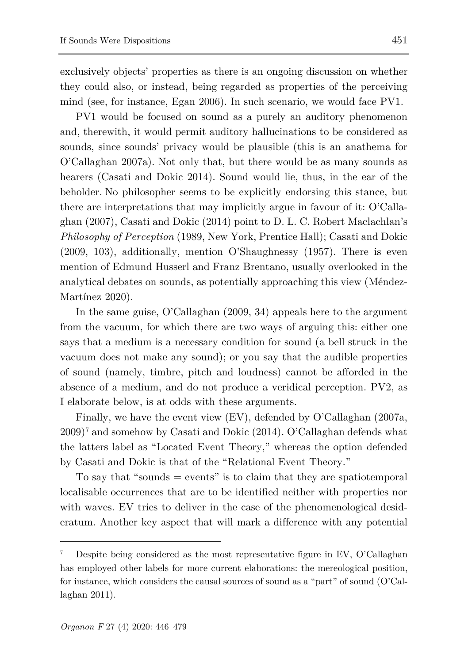exclusively objects' properties as there is an ongoing discussion on whether they could also, or instead, being regarded as properties of the perceiving mind (see, for instance, Egan 2006). In such scenario, we would face PV1.

PV1 would be focused on sound as a purely an auditory phenomenon and, therewith, it would permit auditory hallucinations to be considered as sounds, since sounds' privacy would be plausible (this is an anathema for O'Callaghan 2007a). Not only that, but there would be as many sounds as hearers (Casati and Dokic 2014). Sound would lie, thus, in the ear of the beholder. No philosopher seems to be explicitly endorsing this stance, but there are interpretations that may implicitly argue in favour of it: O'Callaghan (2007), Casati and Dokic (2014) point to D. L. C. Robert Maclachlan's *Philosophy of Perception* (1989, New York, Prentice Hall); Casati and Dokic (2009, 103), additionally, mention O'Shaughnessy (1957). There is even mention of Edmund Husserl and Franz Brentano, usually overlooked in the analytical debates on sounds, as potentially approaching this view (Méndez-Martínez 2020).

In the same guise, O'Callaghan (2009, 34) appeals here to the argument from the vacuum, for which there are two ways of arguing this: either one says that a medium is a necessary condition for sound (a bell struck in the vacuum does not make any sound); or you say that the audible properties of sound (namely, timbre, pitch and loudness) cannot be afforded in the absence of a medium, and do not produce a veridical perception. PV2, as I elaborate below, is at odds with these arguments.

Finally, we have the event view (EV), defended by O'Callaghan (2007a,  $2009$ <sup>[7](#page-5-0)</sup> and somehow by Casati and Dokic (2014). O'Callaghan defends what the latters label as "Located Event Theory," whereas the option defended by Casati and Dokic is that of the "Relational Event Theory."

To say that "sounds  $=$  events" is to claim that they are spatiotemporal localisable occurrences that are to be identified neither with properties nor with waves. EV tries to deliver in the case of the phenomenological desideratum. Another key aspect that will mark a difference with any potential

<span id="page-5-0"></span>Despite being considered as the most representative figure in EV, O'Callaghan has employed other labels for more current elaborations: the mereological position, for instance, which considers the causal sources of sound as a "part" of sound (O'Callaghan 2011).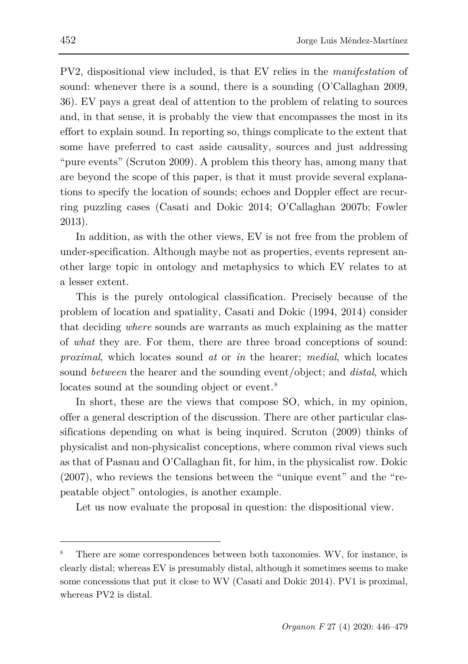PV2, dispositional view included, is that EV relies in the *manifestation* of sound: whenever there is a sound, there is a sounding (O'Callaghan 2009, 36). EV pays a great deal of attention to the problem of relating to sources and, in that sense, it is probably the view that encompasses the most in its effort to explain sound. In reporting so, things complicate to the extent that some have preferred to cast aside causality, sources and just addressing "pure events" (Scruton 2009). A problem this theory has, among many that are beyond the scope of this paper, is that it must provide several explanations to specify the location of sounds; echoes and Doppler effect are recurring puzzling cases (Casati and Dokic 2014; O'Callaghan 2007b; Fowler 2013).

In addition, as with the other views, EV is not free from the problem of under-specification. Although maybe not as properties, events represent another large topic in ontology and metaphysics to which EV relates to at a lesser extent.

This is the purely ontological classification. Precisely because of the problem of location and spatiality, Casati and Dokic (1994, 2014) consider that deciding *where* sounds are warrants as much explaining as the matter of *what* they are. For them, there are three broad conceptions of sound: *proximal*, which locates sound *at* or *in* the hearer; *medial*, which locates sound *between* the hearer and the sounding event/object; and *distal*, which locates sound at the sounding object or event.<sup>[8](#page-6-0)</sup>

In short, these are the views that compose SO, which, in my opinion, offer a general description of the discussion. There are other particular classifications depending on what is being inquired. Scruton (2009) thinks of physicalist and non-physicalist conceptions, where common rival views such as that of Pasnau and O'Callaghan fit, for him, in the physicalist row. Dokic (2007), who reviews the tensions between the "unique event" and the "repeatable object" ontologies, is another example.

Let us now evaluate the proposal in question: the dispositional view.

<span id="page-6-0"></span>There are some correspondences between both taxonomies. WV, for instance, is clearly distal; whereas EV is presumably distal, although it sometimes seems to make some concessions that put it close to WV (Casati and Dokic 2014). PV1 is proximal, whereas PV2 is distal.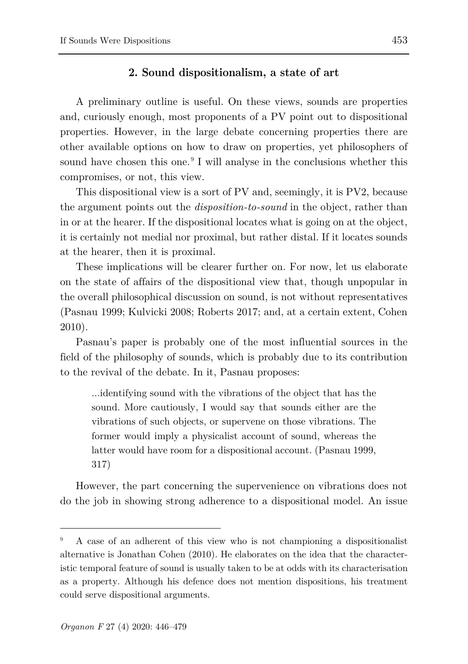## **2. Sound dispositionalism, a state of art**

A preliminary outline is useful. On these views, sounds are properties and, curiously enough, most proponents of a PV point out to dispositional properties. However, in the large debate concerning properties there are other available options on how to draw on properties, yet philosophers of sound have chosen this one.<sup>[9](#page-7-0)</sup> I will analyse in the conclusions whether this compromises, or not, this view.

This dispositional view is a sort of PV and, seemingly, it is PV2, because the argument points out the *disposition-to-sound* in the object, rather than in or at the hearer. If the dispositional locates what is going on at the object, it is certainly not medial nor proximal, but rather distal. If it locates sounds at the hearer, then it is proximal.

These implications will be clearer further on. For now, let us elaborate on the state of affairs of the dispositional view that, though unpopular in the overall philosophical discussion on sound, is not without representatives (Pasnau 1999; Kulvicki 2008; Roberts 2017; and, at a certain extent, Cohen 2010).

Pasnau's paper is probably one of the most influential sources in the field of the philosophy of sounds, which is probably due to its contribution to the revival of the debate. In it, Pasnau proposes:

...identifying sound with the vibrations of the object that has the sound. More cautiously, I would say that sounds either are the vibrations of such objects, or supervene on those vibrations. The former would imply a physicalist account of sound, whereas the latter would have room for a dispositional account. (Pasnau 1999, 317)

However, the part concerning the supervenience on vibrations does not do the job in showing strong adherence to a dispositional model. An issue

<span id="page-7-0"></span><sup>9</sup> A case of an adherent of this view who is not championing a dispositionalist alternative is Jonathan Cohen (2010). He elaborates on the idea that the characteristic temporal feature of sound is usually taken to be at odds with its characterisation as a property. Although his defence does not mention dispositions, his treatment could serve dispositional arguments.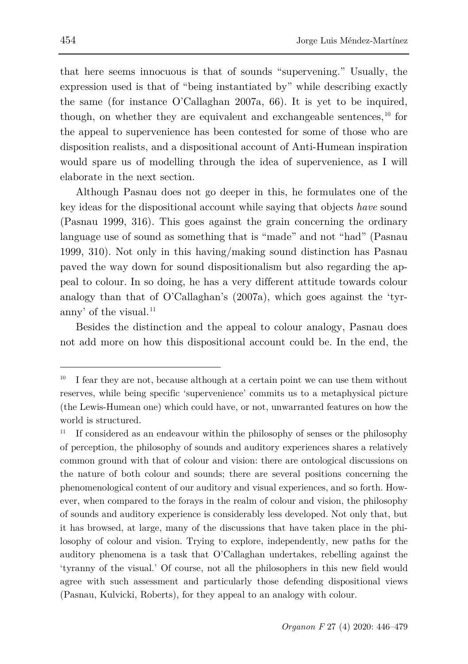that here seems innocuous is that of sounds "supervening." Usually, the expression used is that of "being instantiated by" while describing exactly the same (for instance O'Callaghan 2007a, 66). It is yet to be inquired, though, on whether they are equivalent and exchangeable sentences,  $^{10}$  $^{10}$  $^{10}$  for the appeal to supervenience has been contested for some of those who are disposition realists, and a dispositional account of Anti-Humean inspiration would spare us of modelling through the idea of supervenience, as I will elaborate in the next section.

Although Pasnau does not go deeper in this, he formulates one of the key ideas for the dispositional account while saying that objects *have* sound (Pasnau 1999, 316). This goes against the grain concerning the ordinary language use of sound as something that is "made" and not "had" (Pasnau 1999, 310). Not only in this having/making sound distinction has Pasnau paved the way down for sound dispositionalism but also regarding the appeal to colour. In so doing, he has a very different attitude towards colour analogy than that of O'Callaghan's (2007a), which goes against the 'tyranny' of the visual. $11$ 

Besides the distinction and the appeal to colour analogy, Pasnau does not add more on how this dispositional account could be. In the end, the

ł

<span id="page-8-0"></span> $10$  I fear they are not, because although at a certain point we can use them without reserves, while being specific 'supervenience' commits us to a metaphysical picture (the Lewis-Humean one) which could have, or not, unwarranted features on how the world is structured.

<span id="page-8-1"></span> $11$  If considered as an endeavour within the philosophy of senses or the philosophy of perception, the philosophy of sounds and auditory experiences shares a relatively common ground with that of colour and vision: there are ontological discussions on the nature of both colour and sounds; there are several positions concerning the phenomenological content of our auditory and visual experiences, and so forth. However, when compared to the forays in the realm of colour and vision, the philosophy of sounds and auditory experience is considerably less developed. Not only that, but it has browsed, at large, many of the discussions that have taken place in the philosophy of colour and vision. Trying to explore, independently, new paths for the auditory phenomena is a task that O'Callaghan undertakes, rebelling against the 'tyranny of the visual.' Of course, not all the philosophers in this new field would agree with such assessment and particularly those defending dispositional views (Pasnau, Kulvicki, Roberts), for they appeal to an analogy with colour.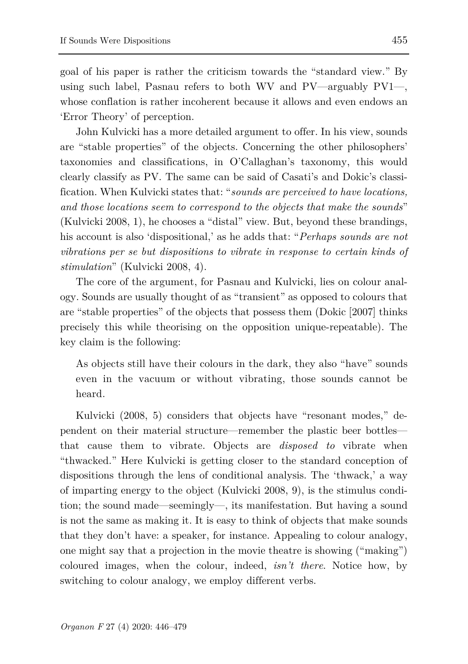goal of his paper is rather the criticism towards the "standard view." By using such label, Pasnau refers to both WV and PV—arguably PV1—, whose conflation is rather incoherent because it allows and even endows an 'Error Theory' of perception.

John Kulvicki has a more detailed argument to offer. In his view, sounds are "stable properties" of the objects. Concerning the other philosophers' taxonomies and classifications, in O'Callaghan's taxonomy, this would clearly classify as PV. The same can be said of Casati's and Dokic's classification. When Kulvicki states that: "*sounds are perceived to have locations, and those locations seem to correspond to the objects that make the sounds*" (Kulvicki 2008, 1), he chooses a "distal" view. But, beyond these brandings, his account is also 'dispositional,' as he adds that: "*Perhaps sounds are not vibrations per se but dispositions to vibrate in response to certain kinds of stimulation*" (Kulvicki 2008, 4).

The core of the argument, for Pasnau and Kulvicki, lies on colour analogy. Sounds are usually thought of as "transient" as opposed to colours that are "stable properties" of the objects that possess them (Dokic [2007] thinks precisely this while theorising on the opposition unique-repeatable). The key claim is the following:

As objects still have their colours in the dark, they also "have" sounds even in the vacuum or without vibrating, those sounds cannot be heard.

Kulvicki (2008, 5) considers that objects have "resonant modes," dependent on their material structure—remember the plastic beer bottles that cause them to vibrate. Objects are *disposed to* vibrate when "thwacked." Here Kulvicki is getting closer to the standard conception of dispositions through the lens of conditional analysis. The 'thwack,' a way of imparting energy to the object (Kulvicki 2008, 9), is the stimulus condition; the sound made—seemingly—, its manifestation. But having a sound is not the same as making it. It is easy to think of objects that make sounds that they don't have: a speaker, for instance. Appealing to colour analogy, one might say that a projection in the movie theatre is showing ("making") coloured images, when the colour, indeed, *isn't there*. Notice how, by switching to colour analogy, we employ different verbs.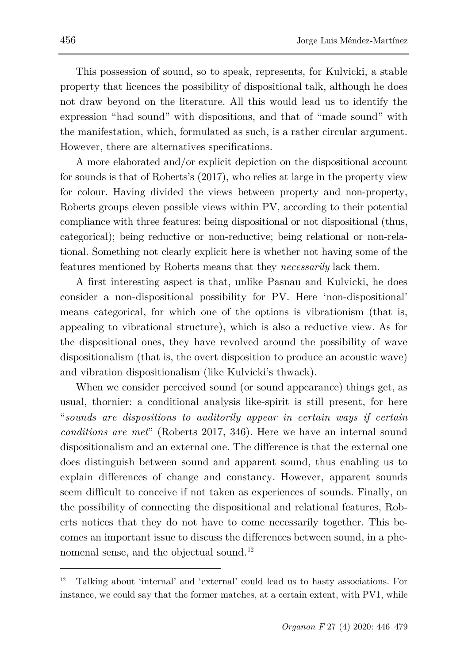This possession of sound, so to speak, represents, for Kulvicki, a stable property that licences the possibility of dispositional talk, although he does not draw beyond on the literature. All this would lead us to identify the expression "had sound" with dispositions, and that of "made sound" with the manifestation, which, formulated as such, is a rather circular argument. However, there are alternatives specifications.

A more elaborated and/or explicit depiction on the dispositional account for sounds is that of Roberts's (2017), who relies at large in the property view for colour. Having divided the views between property and non-property, Roberts groups eleven possible views within PV, according to their potential compliance with three features: being dispositional or not dispositional (thus, categorical); being reductive or non-reductive; being relational or non-relational. Something not clearly explicit here is whether not having some of the features mentioned by Roberts means that they *necessarily* lack them.

A first interesting aspect is that, unlike Pasnau and Kulvicki, he does consider a non-dispositional possibility for PV. Here 'non-dispositional' means categorical, for which one of the options is vibrationism (that is, appealing to vibrational structure), which is also a reductive view. As for the dispositional ones, they have revolved around the possibility of wave dispositionalism (that is, the overt disposition to produce an acoustic wave) and vibration dispositionalism (like Kulvicki's thwack).

When we consider perceived sound (or sound appearance) things get, as usual, thornier: a conditional analysis like-spirit is still present, for here "*sounds are dispositions to auditorily appear in certain ways if certain conditions are met*" (Roberts 2017, 346). Here we have an internal sound dispositionalism and an external one. The difference is that the external one does distinguish between sound and apparent sound, thus enabling us to explain differences of change and constancy. However, apparent sounds seem difficult to conceive if not taken as experiences of sounds. Finally, on the possibility of connecting the dispositional and relational features, Roberts notices that they do not have to come necessarily together. This becomes an important issue to discuss the differences between sound, in a phe-nomenal sense, and the objectual sound.<sup>[12](#page-10-0)</sup>

<span id="page-10-0"></span><sup>12</sup> Talking about 'internal' and 'external' could lead us to hasty associations. For instance, we could say that the former matches, at a certain extent, with PV1, while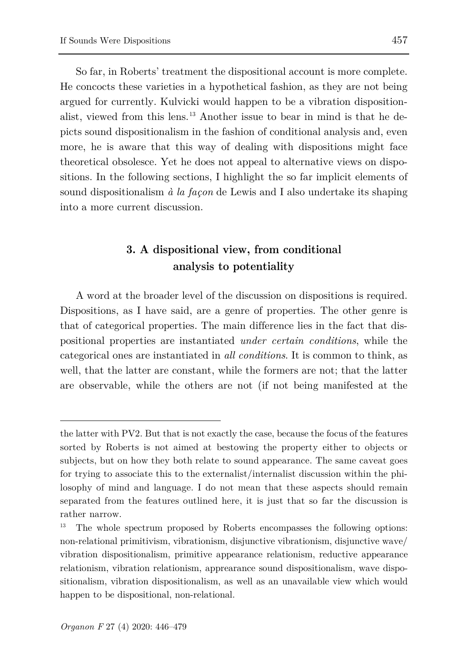So far, in Roberts' treatment the dispositional account is more complete. He concocts these varieties in a hypothetical fashion, as they are not being argued for currently. Kulvicki would happen to be a vibration dispositionalist, viewed from this lens.[13](#page-11-0) Another issue to bear in mind is that he depicts sound dispositionalism in the fashion of conditional analysis and, even more, he is aware that this way of dealing with dispositions might face theoretical obsolesce. Yet he does not appeal to alternative views on dispositions. In the following sections, I highlight the so far implicit elements of sound dispositionalism *à la façon* de Lewis and I also undertake its shaping into a more current discussion.

# **3. A dispositional view, from conditional analysis to potentiality**

A word at the broader level of the discussion on dispositions is required. Dispositions, as I have said, are a genre of properties. The other genre is that of categorical properties. The main difference lies in the fact that dispositional properties are instantiated *under certain conditions*, while the categorical ones are instantiated in *all conditions*. It is common to think, as well, that the latter are constant, while the formers are not; that the latter are observable, while the others are not (if not being manifested at the

the latter with PV2. But that is not exactly the case, because the focus of the features sorted by Roberts is not aimed at bestowing the property either to objects or subjects, but on how they both relate to sound appearance. The same caveat goes for trying to associate this to the externalist/internalist discussion within the philosophy of mind and language. I do not mean that these aspects should remain separated from the features outlined here, it is just that so far the discussion is rather narrow.

<span id="page-11-0"></span>The whole spectrum proposed by Roberts encompasses the following options: non-relational primitivism, vibrationism, disjunctive vibrationism, disjunctive wave/ vibration dispositionalism, primitive appearance relationism, reductive appearance relationism, vibration relationism, apprearance sound dispositionalism, wave dispositionalism, vibration dispositionalism, as well as an unavailable view which would happen to be dispositional, non-relational.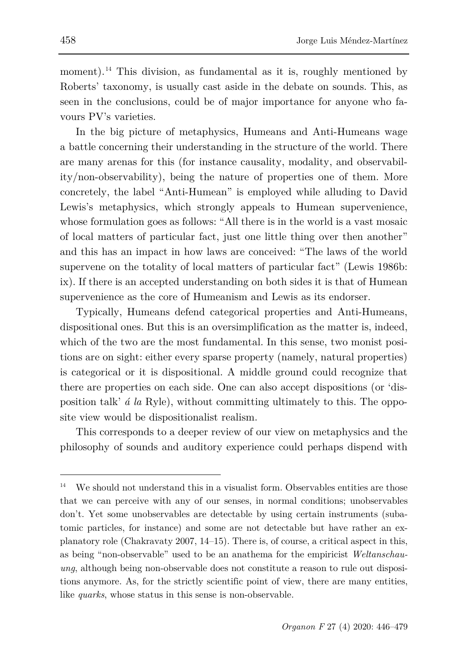moment).<sup>[14](#page-12-0)</sup> This division, as fundamental as it is, roughly mentioned by Roberts' taxonomy, is usually cast aside in the debate on sounds. This, as seen in the conclusions, could be of major importance for anyone who favours PV's varieties.

In the big picture of metaphysics, Humeans and Anti-Humeans wage a battle concerning their understanding in the structure of the world. There are many arenas for this (for instance causality, modality, and observability/non-observability), being the nature of properties one of them. More concretely, the label "Anti-Humean" is employed while alluding to David Lewis's metaphysics, which strongly appeals to Humean supervenience, whose formulation goes as follows: "All there is in the world is a vast mosaic of local matters of particular fact, just one little thing over then another" and this has an impact in how laws are conceived: "The laws of the world supervene on the totality of local matters of particular fact" (Lewis 1986b: ix). If there is an accepted understanding on both sides it is that of Humean supervenience as the core of Humeanism and Lewis as its endorser.

Typically, Humeans defend categorical properties and Anti-Humeans, dispositional ones. But this is an oversimplification as the matter is, indeed, which of the two are the most fundamental. In this sense, two monist positions are on sight: either every sparse property (namely, natural properties) is categorical or it is dispositional. A middle ground could recognize that there are properties on each side. One can also accept dispositions (or 'disposition talk' *á la* Ryle), without committing ultimately to this. The opposite view would be dispositionalist realism.

This corresponds to a deeper review of our view on metaphysics and the philosophy of sounds and auditory experience could perhaps dispend with

<span id="page-12-0"></span><sup>&</sup>lt;sup>14</sup> We should not understand this in a visualist form. Observables entities are those that we can perceive with any of our senses, in normal conditions; unobservables don't. Yet some unobservables are detectable by using certain instruments (subatomic particles, for instance) and some are not detectable but have rather an explanatory role (Chakravaty 2007, 14–15). There is, of course, a critical aspect in this, as being "non-observable" used to be an anathema for the empiricist *Weltanschauung*, although being non-observable does not constitute a reason to rule out dispositions anymore. As, for the strictly scientific point of view, there are many entities, like *quarks*, whose status in this sense is non-observable.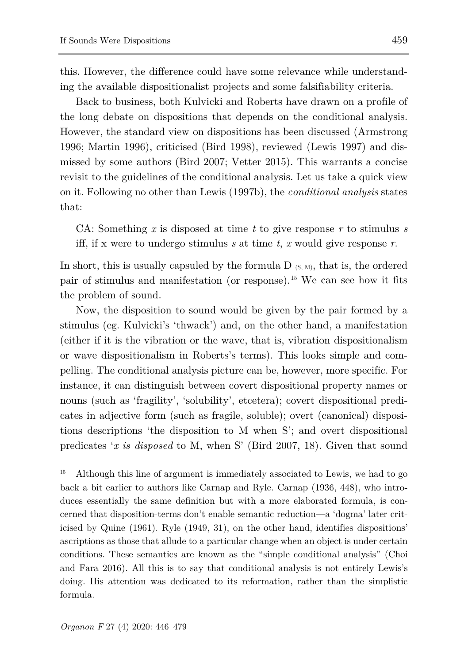this. However, the difference could have some relevance while understanding the available dispositionalist projects and some falsifiability criteria.

Back to business, both Kulvicki and Roberts have drawn on a profile of the long debate on dispositions that depends on the conditional analysis. However, the standard view on dispositions has been discussed (Armstrong 1996; Martin 1996), criticised (Bird 1998), reviewed (Lewis 1997) and dismissed by some authors (Bird 2007; Vetter 2015). This warrants a concise revisit to the guidelines of the conditional analysis. Let us take a quick view on it. Following no other than Lewis (1997b), the *conditional analysis* states that:

CA: Something *x* is disposed at time *t* to give response *r* to stimulus *s* iff, if x were to undergo stimulus *s* at time *t*, *x* would give response *r*.

In short, this is usually capsuled by the formula  $D(s, M)$ , that is, the ordered pair of stimulus and manifestation (or response).[15](#page-13-0) We can see how it fits the problem of sound.

Now, the disposition to sound would be given by the pair formed by a stimulus (eg. Kulvicki's 'thwack') and, on the other hand, a manifestation (either if it is the vibration or the wave, that is, vibration dispositionalism or wave dispositionalism in Roberts's terms). This looks simple and compelling. The conditional analysis picture can be, however, more specific. For instance, it can distinguish between covert dispositional property names or nouns (such as 'fragility', 'solubility', etcetera); covert dispositional predicates in adjective form (such as fragile, soluble); overt (canonical) dispositions descriptions 'the disposition to M when S'; and overt dispositional predicates '*x is disposed* to M, when S' (Bird 2007, 18). Given that sound

<span id="page-13-0"></span>Although this line of argument is immediately associated to Lewis, we had to go back a bit earlier to authors like Carnap and Ryle. Carnap (1936, 448), who introduces essentially the same definition but with a more elaborated formula, is concerned that disposition-terms don't enable semantic reduction—a 'dogma' later criticised by Quine (1961). Ryle (1949, 31), on the other hand, identifies dispositions' ascriptions as those that allude to a particular change when an object is under certain conditions. These semantics are known as the "simple conditional analysis" (Choi and Fara 2016). All this is to say that conditional analysis is not entirely Lewis's doing. His attention was dedicated to its reformation, rather than the simplistic formula.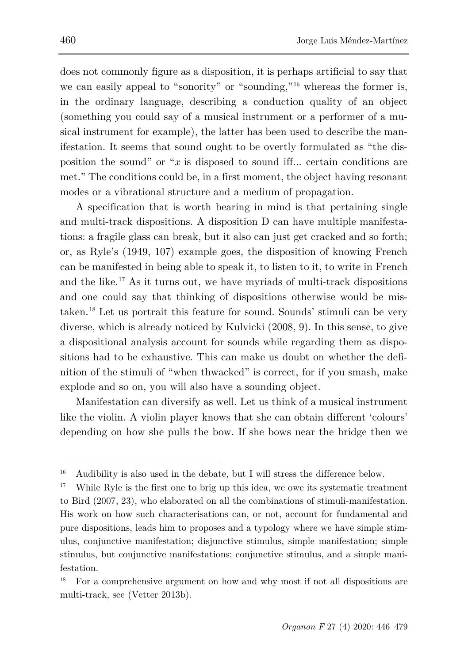does not commonly figure as a disposition, it is perhaps artificial to say that we can easily appeal to "sonority" or "sounding,"<sup>[16](#page-14-0)</sup> whereas the former is, in the ordinary language, describing a conduction quality of an object (something you could say of a musical instrument or a performer of a musical instrument for example), the latter has been used to describe the manifestation. It seems that sound ought to be overtly formulated as "the disposition the sound" or "*x* is disposed to sound iff... certain conditions are met." The conditions could be, in a first moment, the object having resonant modes or a vibrational structure and a medium of propagation.

A specification that is worth bearing in mind is that pertaining single and multi-track dispositions. A disposition D can have multiple manifestations: a fragile glass can break, but it also can just get cracked and so forth; or, as Ryle's (1949, 107) example goes, the disposition of knowing French can be manifested in being able to speak it, to listen to it, to write in French and the like.<sup>[17](#page-14-1)</sup> As it turns out, we have myriads of multi-track dispositions and one could say that thinking of dispositions otherwise would be mistaken.[18](#page-14-2) Let us portrait this feature for sound. Sounds' stimuli can be very diverse, which is already noticed by Kulvicki (2008, 9). In this sense, to give a dispositional analysis account for sounds while regarding them as dispositions had to be exhaustive. This can make us doubt on whether the definition of the stimuli of "when thwacked" is correct, for if you smash, make explode and so on, you will also have a sounding object.

Manifestation can diversify as well. Let us think of a musical instrument like the violin. A violin player knows that she can obtain different 'colours' depending on how she pulls the bow. If she bows near the bridge then we

<span id="page-14-0"></span><sup>&</sup>lt;sup>16</sup> Audibility is also used in the debate, but I will stress the difference below.

<span id="page-14-1"></span><sup>&</sup>lt;sup>17</sup> While Ryle is the first one to brig up this idea, we owe its systematic treatment to Bird (2007, 23), who elaborated on all the combinations of stimuli-manifestation. His work on how such characterisations can, or not, account for fundamental and pure dispositions, leads him to proposes and a typology where we have simple stimulus, conjunctive manifestation; disjunctive stimulus, simple manifestation; simple stimulus, but conjunctive manifestations; conjunctive stimulus, and a simple manifestation.

<span id="page-14-2"></span><sup>&</sup>lt;sup>18</sup> For a comprehensive argument on how and why most if not all dispositions are multi-track, see (Vetter 2013b).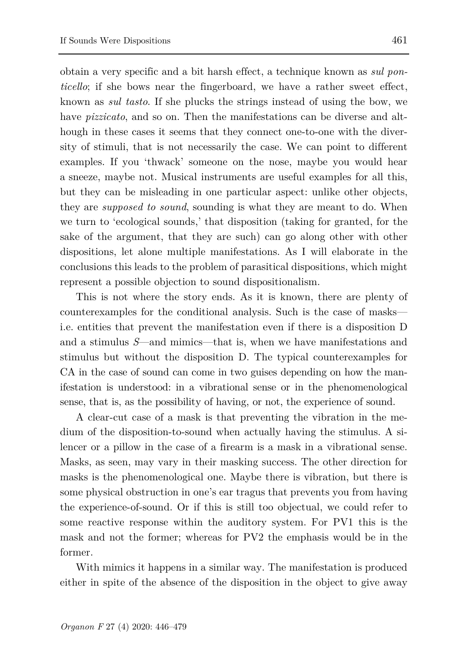obtain a very specific and a bit harsh effect, a technique known as *sul ponticello*; if she bows near the fingerboard, we have a rather sweet effect, known as *sul tasto*. If she plucks the strings instead of using the bow, we have *pizzicato*, and so on. Then the manifestations can be diverse and although in these cases it seems that they connect one-to-one with the diversity of stimuli, that is not necessarily the case. We can point to different examples. If you 'thwack' someone on the nose, maybe you would hear a sneeze, maybe not. Musical instruments are useful examples for all this, but they can be misleading in one particular aspect: unlike other objects, they are *supposed to sound*, sounding is what they are meant to do. When we turn to 'ecological sounds,' that disposition (taking for granted, for the sake of the argument, that they are such) can go along other with other dispositions, let alone multiple manifestations. As I will elaborate in the conclusions this leads to the problem of parasitical dispositions, which might represent a possible objection to sound dispositionalism.

This is not where the story ends. As it is known, there are plenty of counterexamples for the conditional analysis. Such is the case of masks i.e. entities that prevent the manifestation even if there is a disposition D and a stimulus *S*—and mimics—that is, when we have manifestations and stimulus but without the disposition D. The typical counterexamples for CA in the case of sound can come in two guises depending on how the manifestation is understood: in a vibrational sense or in the phenomenological sense, that is, as the possibility of having, or not, the experience of sound.

A clear-cut case of a mask is that preventing the vibration in the medium of the disposition-to-sound when actually having the stimulus. A silencer or a pillow in the case of a firearm is a mask in a vibrational sense. Masks, as seen, may vary in their masking success. The other direction for masks is the phenomenological one. Maybe there is vibration, but there is some physical obstruction in one's ear tragus that prevents you from having the experience-of-sound. Or if this is still too objectual, we could refer to some reactive response within the auditory system. For PV1 this is the mask and not the former; whereas for PV2 the emphasis would be in the former.

With mimics it happens in a similar way. The manifestation is produced either in spite of the absence of the disposition in the object to give away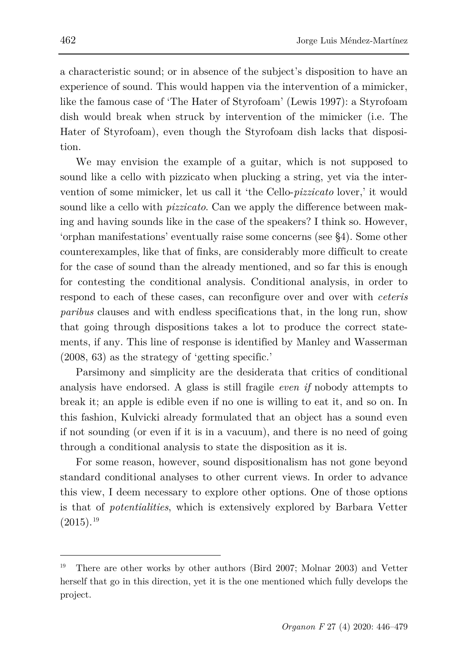a characteristic sound; or in absence of the subject's disposition to have an experience of sound. This would happen via the intervention of a mimicker, like the famous case of 'The Hater of Styrofoam' (Lewis 1997): a Styrofoam dish would break when struck by intervention of the mimicker (i.e. The Hater of Styrofoam), even though the Styrofoam dish lacks that disposition.

We may envision the example of a guitar, which is not supposed to sound like a cello with pizzicato when plucking a string, yet via the intervention of some mimicker, let us call it 'the Cello-*pizzicato* lover,' it would sound like a cello with *pizzicato*. Can we apply the difference between making and having sounds like in the case of the speakers? I think so. However, 'orphan manifestations' eventually raise some concerns (see §4). Some other counterexamples, like that of finks, are considerably more difficult to create for the case of sound than the already mentioned, and so far this is enough for contesting the conditional analysis. Conditional analysis, in order to respond to each of these cases, can reconfigure over and over with *ceteris paribus* clauses and with endless specifications that, in the long run, show that going through dispositions takes a lot to produce the correct statements, if any. This line of response is identified by Manley and Wasserman (2008, 63) as the strategy of 'getting specific.'

Parsimony and simplicity are the desiderata that critics of conditional analysis have endorsed. A glass is still fragile *even if* nobody attempts to break it; an apple is edible even if no one is willing to eat it, and so on. In this fashion, Kulvicki already formulated that an object has a sound even if not sounding (or even if it is in a vacuum), and there is no need of going through a conditional analysis to state the disposition as it is.

For some reason, however, sound dispositionalism has not gone beyond standard conditional analyses to other current views. In order to advance this view, I deem necessary to explore other options. One of those options is that of *potentialities*, which is extensively explored by Barbara Vetter  $(2015).^{19}$  $(2015).^{19}$  $(2015).^{19}$ 

<span id="page-16-0"></span><sup>19</sup> There are other works by other authors (Bird 2007; Molnar 2003) and Vetter herself that go in this direction, yet it is the one mentioned which fully develops the project.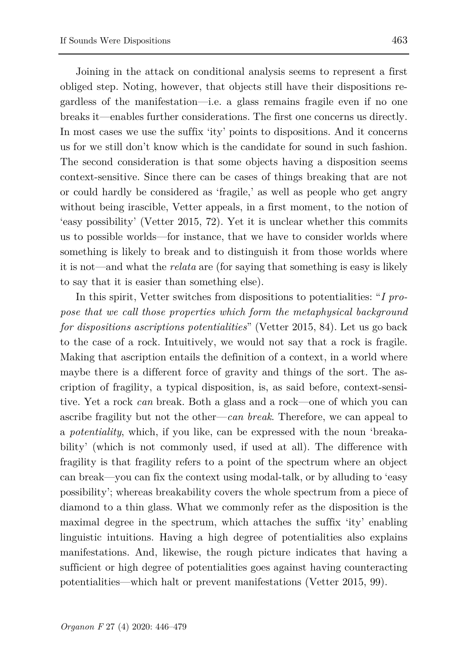Joining in the attack on conditional analysis seems to represent a first obliged step. Noting, however, that objects still have their dispositions regardless of the manifestation—i.e. a glass remains fragile even if no one breaks it—enables further considerations. The first one concerns us directly. In most cases we use the suffix 'ity' points to dispositions. And it concerns us for we still don't know which is the candidate for sound in such fashion. The second consideration is that some objects having a disposition seems context-sensitive. Since there can be cases of things breaking that are not or could hardly be considered as 'fragile,' as well as people who get angry without being irascible, Vetter appeals, in a first moment, to the notion of 'easy possibility' (Vetter 2015, 72). Yet it is unclear whether this commits us to possible worlds—for instance, that we have to consider worlds where something is likely to break and to distinguish it from those worlds where it is not—and what the *relata* are (for saying that something is easy is likely to say that it is easier than something else).

In this spirit, Vetter switches from dispositions to potentialities: "*I propose that we call those properties which form the metaphysical background for dispositions ascriptions potentialities*" (Vetter 2015, 84). Let us go back to the case of a rock. Intuitively, we would not say that a rock is fragile. Making that ascription entails the definition of a context, in a world where maybe there is a different force of gravity and things of the sort. The ascription of fragility, a typical disposition, is, as said before, context-sensitive. Yet a rock *can* break. Both a glass and a rock—one of which you can ascribe fragility but not the other—*can break*. Therefore, we can appeal to a *potentiality*, which, if you like, can be expressed with the noun 'breakability' (which is not commonly used, if used at all). The difference with fragility is that fragility refers to a point of the spectrum where an object can break—you can fix the context using modal-talk, or by alluding to 'easy possibility'; whereas breakability covers the whole spectrum from a piece of diamond to a thin glass. What we commonly refer as the disposition is the maximal degree in the spectrum, which attaches the suffix 'ity' enabling linguistic intuitions. Having a high degree of potentialities also explains manifestations. And, likewise, the rough picture indicates that having a sufficient or high degree of potentialities goes against having counteracting potentialities—which halt or prevent manifestations (Vetter 2015, 99).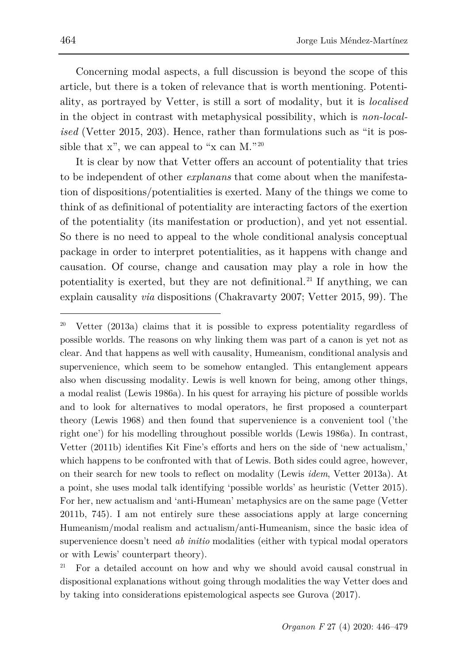Concerning modal aspects, a full discussion is beyond the scope of this article, but there is a token of relevance that is worth mentioning. Potentiality, as portrayed by Vetter, is still a sort of modality, but it is *localised*  in the object in contrast with metaphysical possibility, which is *non-localised* (Vetter 2015, 203). Hence, rather than formulations such as "it is possible that  $x$ ", we can appeal to "x can M."<sup>[20](#page-18-0)</sup>

It is clear by now that Vetter offers an account of potentiality that tries to be independent of other *explanans* that come about when the manifestation of dispositions/potentialities is exerted. Many of the things we come to think of as definitional of potentiality are interacting factors of the exertion of the potentiality (its manifestation or production), and yet not essential. So there is no need to appeal to the whole conditional analysis conceptual package in order to interpret potentialities, as it happens with change and causation. Of course, change and causation may play a role in how the potentiality is exerted, but they are not definitional.<sup>[21](#page-18-1)</sup> If anything, we can explain causality *via* dispositions (Chakravarty 2007; Vetter 2015, 99). The

<span id="page-18-0"></span><sup>20</sup> Vetter (2013a) claims that it is possible to express potentiality regardless of possible worlds. The reasons on why linking them was part of a canon is yet not as clear. And that happens as well with causality, Humeanism, conditional analysis and supervenience, which seem to be somehow entangled. This entanglement appears also when discussing modality. Lewis is well known for being, among other things, a modal realist (Lewis 1986a). In his quest for arraying his picture of possible worlds and to look for alternatives to modal operators, he first proposed a counterpart theory (Lewis 1968) and then found that supervenience is a convenient tool ('the right one') for his modelling throughout possible worlds (Lewis 1986a). In contrast, Vetter (2011b) identifies Kit Fine's efforts and hers on the side of 'new actualism,' which happens to be confronted with that of Lewis. Both sides could agree, however, on their search for new tools to reflect on modality (Lewis *idem*, Vetter 2013a). At a point, she uses modal talk identifying 'possible worlds' as heuristic (Vetter 2015). For her, new actualism and 'anti-Humean' metaphysics are on the same page (Vetter 2011b, 745). I am not entirely sure these associations apply at large concerning Humeanism/modal realism and actualism/anti-Humeanism, since the basic idea of supervenience doesn't need *ab initio* modalities (either with typical modal operators or with Lewis' counterpart theory).

<span id="page-18-1"></span><sup>21</sup> For a detailed account on how and why we should avoid causal construal in dispositional explanations without going through modalities the way Vetter does and by taking into considerations epistemological aspects see Gurova (2017).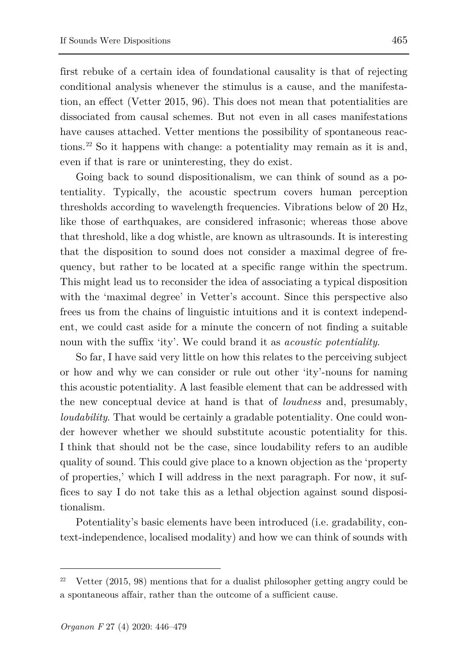first rebuke of a certain idea of foundational causality is that of rejecting conditional analysis whenever the stimulus is a cause, and the manifestation, an effect (Vetter 2015, 96). This does not mean that potentialities are dissociated from causal schemes. But not even in all cases manifestations have causes attached. Vetter mentions the possibility of spontaneous reactions.[22](#page-19-0) So it happens with change: a potentiality may remain as it is and, even if that is rare or uninteresting, they do exist.

Going back to sound dispositionalism, we can think of sound as a potentiality. Typically, the acoustic spectrum covers human perception thresholds according to wavelength frequencies. Vibrations below of 20 Hz, like those of earthquakes, are considered infrasonic; whereas those above that threshold, like a dog whistle, are known as ultrasounds. It is interesting that the disposition to sound does not consider a maximal degree of frequency, but rather to be located at a specific range within the spectrum. This might lead us to reconsider the idea of associating a typical disposition with the 'maximal degree' in Vetter's account. Since this perspective also frees us from the chains of linguistic intuitions and it is context independent, we could cast aside for a minute the concern of not finding a suitable noun with the suffix 'ity'. We could brand it as *acoustic potentiality*.

So far, I have said very little on how this relates to the perceiving subject or how and why we can consider or rule out other 'ity'-nouns for naming this acoustic potentiality. A last feasible element that can be addressed with the new conceptual device at hand is that of *loudness* and, presumably, *loudability*. That would be certainly a gradable potentiality. One could wonder however whether we should substitute acoustic potentiality for this. I think that should not be the case, since loudability refers to an audible quality of sound. This could give place to a known objection as the 'property of properties,' which I will address in the next paragraph. For now, it suffices to say I do not take this as a lethal objection against sound dispositionalism.

Potentiality's basic elements have been introduced (i.e. gradability, context-independence, localised modality) and how we can think of sounds with

<span id="page-19-0"></span>Vetter  $(2015, 98)$  mentions that for a dualist philosopher getting angry could be a spontaneous affair, rather than the outcome of a sufficient cause.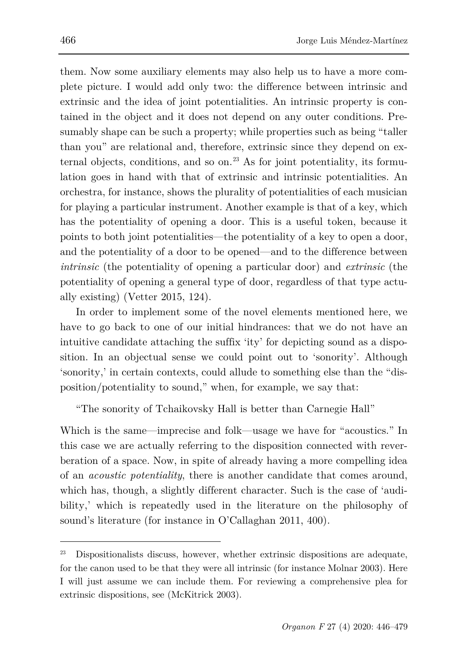them. Now some auxiliary elements may also help us to have a more complete picture. I would add only two: the difference between intrinsic and extrinsic and the idea of joint potentialities. An intrinsic property is contained in the object and it does not depend on any outer conditions. Presumably shape can be such a property; while properties such as being "taller than you" are relational and, therefore, extrinsic since they depend on ex-ternal objects, conditions, and so on.<sup>[23](#page-20-0)</sup> As for joint potentiality, its formulation goes in hand with that of extrinsic and intrinsic potentialities. An orchestra, for instance, shows the plurality of potentialities of each musician for playing a particular instrument. Another example is that of a key, which has the potentiality of opening a door. This is a useful token, because it points to both joint potentialities—the potentiality of a key to open a door, and the potentiality of a door to be opened—and to the difference between *intrinsic* (the potentiality of opening a particular door) and *extrinsic* (the potentiality of opening a general type of door, regardless of that type actually existing) (Vetter 2015, 124).

In order to implement some of the novel elements mentioned here, we have to go back to one of our initial hindrances: that we do not have an intuitive candidate attaching the suffix 'ity' for depicting sound as a disposition. In an objectual sense we could point out to 'sonority'. Although 'sonority,' in certain contexts, could allude to something else than the "disposition/potentiality to sound," when, for example, we say that:

"The sonority of Tchaikovsky Hall is better than Carnegie Hall"

Which is the same—imprecise and folk—usage we have for "acoustics." In this case we are actually referring to the disposition connected with reverberation of a space. Now, in spite of already having a more compelling idea of an *acoustic potentiality*, there is another candidate that comes around, which has, though, a slightly different character. Such is the case of 'audibility,' which is repeatedly used in the literature on the philosophy of sound's literature (for instance in O'Callaghan 2011, 400).

<span id="page-20-0"></span>Dispositionalists discuss, however, whether extrinsic dispositions are adequate, for the canon used to be that they were all intrinsic (for instance Molnar 2003). Here I will just assume we can include them. For reviewing a comprehensive plea for extrinsic dispositions, see (McKitrick 2003).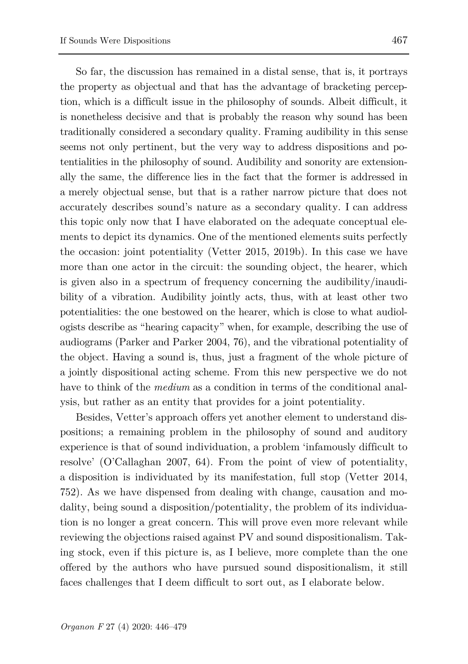So far, the discussion has remained in a distal sense, that is, it portrays the property as objectual and that has the advantage of bracketing perception, which is a difficult issue in the philosophy of sounds. Albeit difficult, it is nonetheless decisive and that is probably the reason why sound has been traditionally considered a secondary quality. Framing audibility in this sense seems not only pertinent, but the very way to address dispositions and potentialities in the philosophy of sound. Audibility and sonority are extensionally the same, the difference lies in the fact that the former is addressed in a merely objectual sense, but that is a rather narrow picture that does not accurately describes sound's nature as a secondary quality. I can address this topic only now that I have elaborated on the adequate conceptual elements to depict its dynamics. One of the mentioned elements suits perfectly the occasion: joint potentiality (Vetter 2015, 2019b). In this case we have more than one actor in the circuit: the sounding object, the hearer, which is given also in a spectrum of frequency concerning the audibility/inaudibility of a vibration. Audibility jointly acts, thus, with at least other two potentialities: the one bestowed on the hearer, which is close to what audiologists describe as "hearing capacity" when, for example, describing the use of audiograms (Parker and Parker 2004, 76), and the vibrational potentiality of the object. Having a sound is, thus, just a fragment of the whole picture of a jointly dispositional acting scheme. From this new perspective we do not have to think of the *medium* as a condition in terms of the conditional analysis, but rather as an entity that provides for a joint potentiality.

Besides, Vetter's approach offers yet another element to understand dispositions; a remaining problem in the philosophy of sound and auditory experience is that of sound individuation, a problem 'infamously difficult to resolve' (O'Callaghan 2007, 64). From the point of view of potentiality, a disposition is individuated by its manifestation, full stop (Vetter 2014, 752). As we have dispensed from dealing with change, causation and modality, being sound a disposition/potentiality, the problem of its individuation is no longer a great concern. This will prove even more relevant while reviewing the objections raised against PV and sound dispositionalism. Taking stock, even if this picture is, as I believe, more complete than the one offered by the authors who have pursued sound dispositionalism, it still faces challenges that I deem difficult to sort out, as I elaborate below.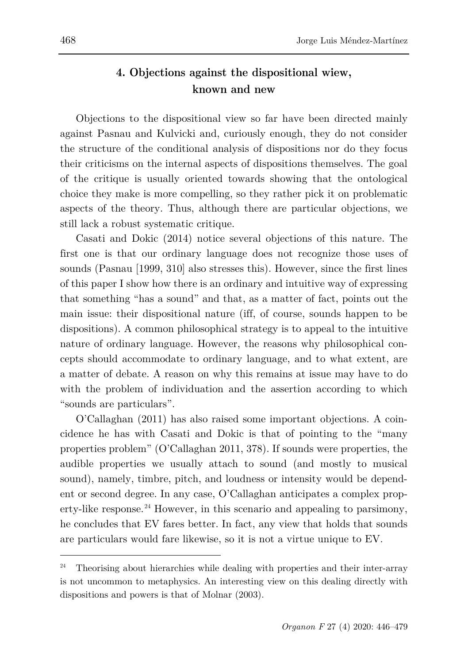# **4. Objections against the dispositional wiew, known and new**

Objections to the dispositional view so far have been directed mainly against Pasnau and Kulvicki and, curiously enough, they do not consider the structure of the conditional analysis of dispositions nor do they focus their criticisms on the internal aspects of dispositions themselves. The goal of the critique is usually oriented towards showing that the ontological choice they make is more compelling, so they rather pick it on problematic aspects of the theory. Thus, although there are particular objections, we still lack a robust systematic critique.

Casati and Dokic (2014) notice several objections of this nature. The first one is that our ordinary language does not recognize those uses of sounds (Pasnau [1999, 310] also stresses this). However, since the first lines of this paper I show how there is an ordinary and intuitive way of expressing that something "has a sound" and that, as a matter of fact, points out the main issue: their dispositional nature (iff, of course, sounds happen to be dispositions). A common philosophical strategy is to appeal to the intuitive nature of ordinary language. However, the reasons why philosophical concepts should accommodate to ordinary language, and to what extent, are a matter of debate. A reason on why this remains at issue may have to do with the problem of individuation and the assertion according to which "sounds are particulars".

O'Callaghan (2011) has also raised some important objections. A coincidence he has with Casati and Dokic is that of pointing to the "many properties problem" (O'Callaghan 2011, 378). If sounds were properties, the audible properties we usually attach to sound (and mostly to musical sound), namely, timbre, pitch, and loudness or intensity would be dependent or second degree. In any case, O'Callaghan anticipates a complex prop-erty-like response.<sup>[24](#page-22-0)</sup> However, in this scenario and appealing to parsimony, he concludes that EV fares better. In fact, any view that holds that sounds are particulars would fare likewise, so it is not a virtue unique to EV.

<span id="page-22-0"></span><sup>24</sup> Theorising about hierarchies while dealing with properties and their inter-array is not uncommon to metaphysics. An interesting view on this dealing directly with dispositions and powers is that of Molnar (2003).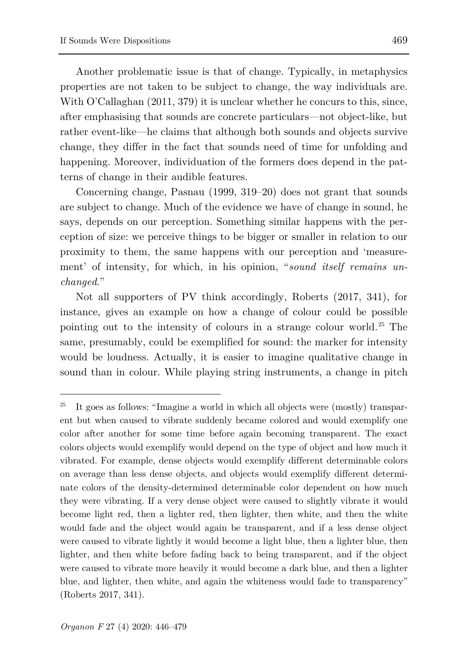Another problematic issue is that of change. Typically, in metaphysics properties are not taken to be subject to change, the way individuals are. With O'Callaghan (2011, 379) it is unclear whether he concurs to this, since, after emphasising that sounds are concrete particulars—not object-like, but rather event-like—he claims that although both sounds and objects survive change, they differ in the fact that sounds need of time for unfolding and happening. Moreover, individuation of the formers does depend in the patterns of change in their audible features.

Concerning change, Pasnau (1999, 319–20) does not grant that sounds are subject to change. Much of the evidence we have of change in sound, he says, depends on our perception. Something similar happens with the perception of size: we perceive things to be bigger or smaller in relation to our proximity to them, the same happens with our perception and 'measurement' of intensity, for which, in his opinion, "*sound itself remains unchanged*."

Not all supporters of PV think accordingly, Roberts (2017, 341), for instance, gives an example on how a change of colour could be possible pointing out to the intensity of colours in a strange colour world. [25](#page-23-0) The same, presumably, could be exemplified for sound: the marker for intensity would be loudness. Actually, it is easier to imagine qualitative change in sound than in colour. While playing string instruments, a change in pitch

<span id="page-23-0"></span><sup>25</sup> It goes as follows: "Imagine a world in which all objects were (mostly) transparent but when caused to vibrate suddenly became colored and would exemplify one color after another for some time before again becoming transparent. The exact colors objects would exemplify would depend on the type of object and how much it vibrated. For example, dense objects would exemplify different determinable colors on average than less dense objects, and objects would exemplify different determinate colors of the density-determined determinable color dependent on how much they were vibrating. If a very dense object were caused to slightly vibrate it would become light red, then a lighter red, then lighter, then white, and then the white would fade and the object would again be transparent, and if a less dense object were caused to vibrate lightly it would become a light blue, then a lighter blue, then lighter, and then white before fading back to being transparent, and if the object were caused to vibrate more heavily it would become a dark blue, and then a lighter blue, and lighter, then white, and again the whiteness would fade to transparency" (Roberts 2017, 341).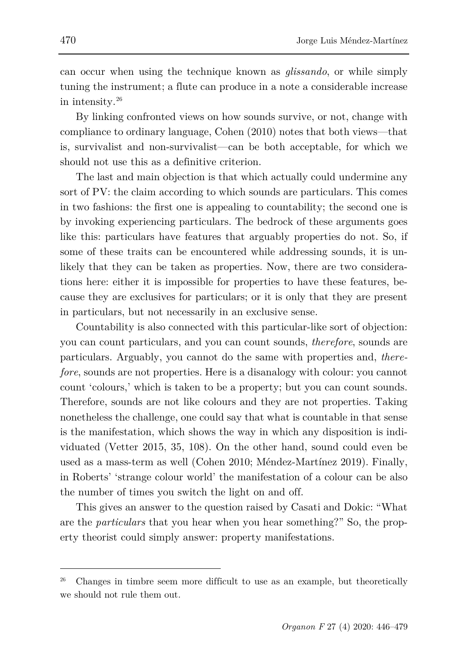can occur when using the technique known as *glissando*, or while simply tuning the instrument; a flute can produce in a note a considerable increase in intensity.[26](#page-24-0)

By linking confronted views on how sounds survive, or not, change with compliance to ordinary language, Cohen (2010) notes that both views—that is, survivalist and non-survivalist—can be both acceptable, for which we should not use this as a definitive criterion.

The last and main objection is that which actually could undermine any sort of PV: the claim according to which sounds are particulars. This comes in two fashions: the first one is appealing to countability; the second one is by invoking experiencing particulars. The bedrock of these arguments goes like this: particulars have features that arguably properties do not. So, if some of these traits can be encountered while addressing sounds, it is unlikely that they can be taken as properties. Now, there are two considerations here: either it is impossible for properties to have these features, because they are exclusives for particulars; or it is only that they are present in particulars, but not necessarily in an exclusive sense.

Countability is also connected with this particular-like sort of objection: you can count particulars, and you can count sounds, *therefore*, sounds are particulars. Arguably, you cannot do the same with properties and, *therefore*, sounds are not properties. Here is a disanalogy with colour: you cannot count 'colours,' which is taken to be a property; but you can count sounds. Therefore, sounds are not like colours and they are not properties. Taking nonetheless the challenge, one could say that what is countable in that sense is the manifestation, which shows the way in which any disposition is individuated (Vetter 2015, 35, 108). On the other hand, sound could even be used as a mass-term as well (Cohen 2010; Méndez-Martínez 2019). Finally, in Roberts' 'strange colour world' the manifestation of a colour can be also the number of times you switch the light on and off.

This gives an answer to the question raised by Casati and Dokic: "What are the *particulars* that you hear when you hear something?" So, the property theorist could simply answer: property manifestations.

<span id="page-24-0"></span><sup>26</sup> Changes in timbre seem more difficult to use as an example, but theoretically we should not rule them out.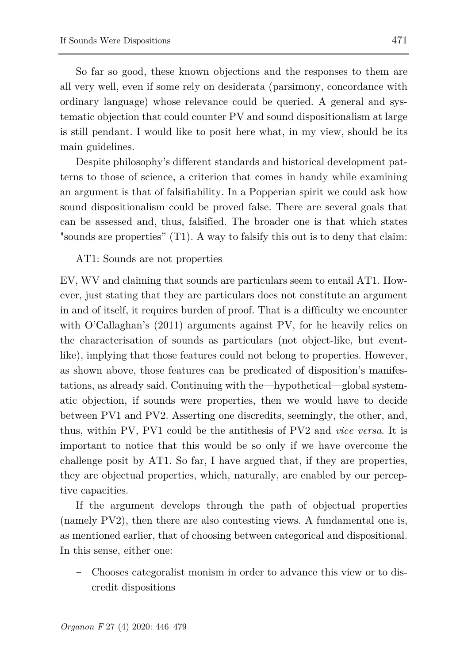So far so good, these known objections and the responses to them are all very well, even if some rely on desiderata (parsimony, concordance with ordinary language) whose relevance could be queried. A general and systematic objection that could counter PV and sound dispositionalism at large is still pendant. I would like to posit here what, in my view, should be its main guidelines.

Despite philosophy's different standards and historical development patterns to those of science, a criterion that comes in handy while examining an argument is that of falsifiability. In a Popperian spirit we could ask how sound dispositionalism could be proved false. There are several goals that can be assessed and, thus, falsified. The broader one is that which states "sounds are properties" (T1). A way to falsify this out is to deny that claim:

AT1: Sounds are not properties

EV, WV and claiming that sounds are particulars seem to entail AT1. However, just stating that they are particulars does not constitute an argument in and of itself, it requires burden of proof. That is a difficulty we encounter with O'Callaghan's (2011) arguments against PV, for he heavily relies on the characterisation of sounds as particulars (not object-like, but eventlike), implying that those features could not belong to properties. However, as shown above, those features can be predicated of disposition's manifestations, as already said. Continuing with the—hypothetical—global systematic objection, if sounds were properties, then we would have to decide between PV1 and PV2. Asserting one discredits, seemingly, the other, and, thus, within PV, PV1 could be the antithesis of PV2 and *vice versa*. It is important to notice that this would be so only if we have overcome the challenge posit by AT1. So far, I have argued that, if they are properties, they are objectual properties, which, naturally, are enabled by our perceptive capacities.

If the argument develops through the path of objectual properties (namely PV2), then there are also contesting views. A fundamental one is, as mentioned earlier, that of choosing between categorical and dispositional. In this sense, either one:

– Chooses categoralist monism in order to advance this view or to discredit dispositions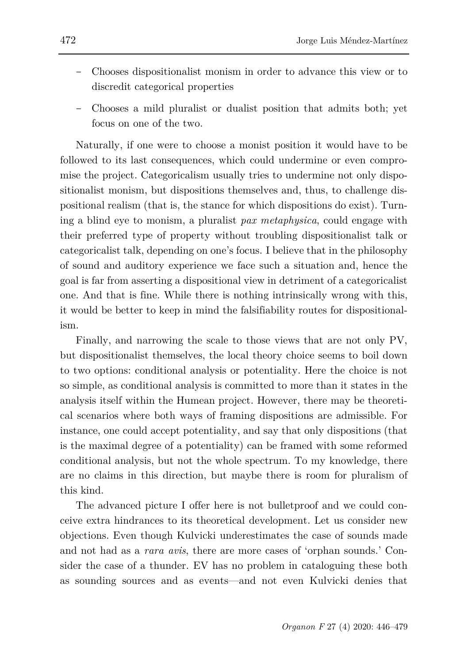- Chooses dispositionalist monism in order to advance this view or to discredit categorical properties
- Chooses a mild pluralist or dualist position that admits both; yet focus on one of the two.

Naturally, if one were to choose a monist position it would have to be followed to its last consequences, which could undermine or even compromise the project. Categoricalism usually tries to undermine not only dispositionalist monism, but dispositions themselves and, thus, to challenge dispositional realism (that is, the stance for which dispositions do exist). Turning a blind eye to monism, a pluralist *pax metaphysica*, could engage with their preferred type of property without troubling dispositionalist talk or categoricalist talk, depending on one's focus. I believe that in the philosophy of sound and auditory experience we face such a situation and, hence the goal is far from asserting a dispositional view in detriment of a categoricalist one. And that is fine. While there is nothing intrinsically wrong with this, it would be better to keep in mind the falsifiability routes for dispositionalism.

Finally, and narrowing the scale to those views that are not only PV, but dispositionalist themselves, the local theory choice seems to boil down to two options: conditional analysis or potentiality. Here the choice is not so simple, as conditional analysis is committed to more than it states in the analysis itself within the Humean project. However, there may be theoretical scenarios where both ways of framing dispositions are admissible. For instance, one could accept potentiality, and say that only dispositions (that is the maximal degree of a potentiality) can be framed with some reformed conditional analysis, but not the whole spectrum. To my knowledge, there are no claims in this direction, but maybe there is room for pluralism of this kind.

The advanced picture I offer here is not bulletproof and we could conceive extra hindrances to its theoretical development. Let us consider new objections. Even though Kulvicki underestimates the case of sounds made and not had as a *rara avis*, there are more cases of 'orphan sounds.' Consider the case of a thunder. EV has no problem in cataloguing these both as sounding sources and as events—and not even Kulvicki denies that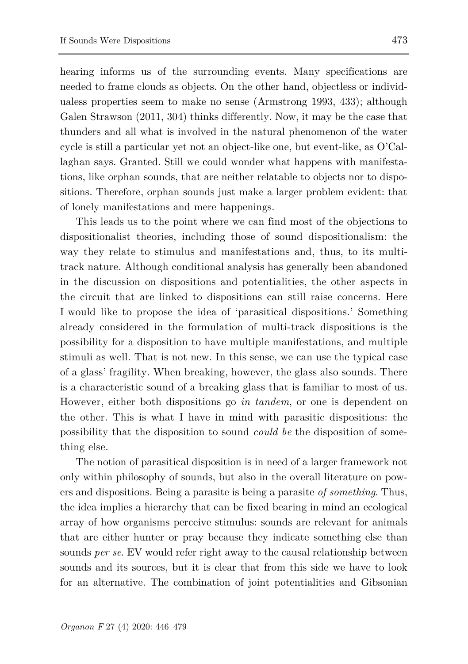hearing informs us of the surrounding events. Many specifications are needed to frame clouds as objects. On the other hand, objectless or individualess properties seem to make no sense (Armstrong 1993, 433); although Galen Strawson (2011, 304) thinks differently. Now, it may be the case that thunders and all what is involved in the natural phenomenon of the water cycle is still a particular yet not an object-like one, but event-like, as O'Callaghan says. Granted. Still we could wonder what happens with manifestations, like orphan sounds, that are neither relatable to objects nor to dispositions. Therefore, orphan sounds just make a larger problem evident: that of lonely manifestations and mere happenings.

This leads us to the point where we can find most of the objections to dispositionalist theories, including those of sound dispositionalism: the way they relate to stimulus and manifestations and, thus, to its multitrack nature. Although conditional analysis has generally been abandoned in the discussion on dispositions and potentialities, the other aspects in the circuit that are linked to dispositions can still raise concerns. Here I would like to propose the idea of 'parasitical dispositions.' Something already considered in the formulation of multi-track dispositions is the possibility for a disposition to have multiple manifestations, and multiple stimuli as well. That is not new. In this sense, we can use the typical case of a glass' fragility. When breaking, however, the glass also sounds. There is a characteristic sound of a breaking glass that is familiar to most of us. However, either both dispositions go *in tandem*, or one is dependent on the other. This is what I have in mind with parasitic dispositions: the possibility that the disposition to sound *could be* the disposition of something else.

The notion of parasitical disposition is in need of a larger framework not only within philosophy of sounds, but also in the overall literature on powers and dispositions. Being a parasite is being a parasite *of something*. Thus, the idea implies a hierarchy that can be fixed bearing in mind an ecological array of how organisms perceive stimulus: sounds are relevant for animals that are either hunter or pray because they indicate something else than sounds *per se*. EV would refer right away to the causal relationship between sounds and its sources, but it is clear that from this side we have to look for an alternative. The combination of joint potentialities and Gibsonian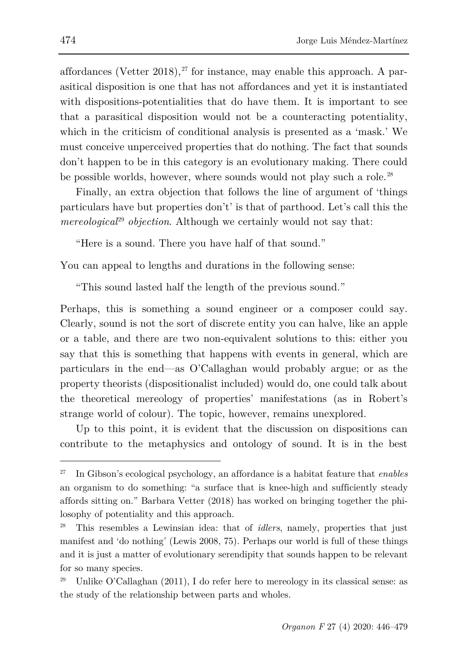affordances (Vetter 2018), [27](#page-28-0) for instance, may enable this approach. A parasitical disposition is one that has not affordances and yet it is instantiated with dispositions-potentialities that do have them. It is important to see that a parasitical disposition would not be a counteracting potentiality, which in the criticism of conditional analysis is presented as a 'mask.' We must conceive unperceived properties that do nothing. The fact that sounds don't happen to be in this category is an evolutionary making. There could be possible worlds, however, where sounds would not play such a role.<sup>[28](#page-28-1)</sup>

Finally, an extra objection that follows the line of argument of 'things particulars have but properties don't' is that of parthood. Let's call this the *mereological*<sup>[29](#page-28-2)</sup> *objection*. Although we certainly would not say that:

"Here is a sound. There you have half of that sound."

You can appeal to lengths and durations in the following sense:

"This sound lasted half the length of the previous sound."

Perhaps, this is something a sound engineer or a composer could say. Clearly, sound is not the sort of discrete entity you can halve, like an apple or a table, and there are two non-equivalent solutions to this: either you say that this is something that happens with events in general, which are particulars in the end—as O'Callaghan would probably argue; or as the property theorists (dispositionalist included) would do, one could talk about the theoretical mereology of properties' manifestations (as in Robert's strange world of colour). The topic, however, remains unexplored.

Up to this point, it is evident that the discussion on dispositions can contribute to the metaphysics and ontology of sound. It is in the best

<span id="page-28-0"></span><sup>27</sup> In Gibson's ecological psychology, an affordance is a habitat feature that *enables* an organism to do something: "a surface that is knee-high and sufficiently steady affords sitting on." Barbara Vetter (2018) has worked on bringing together the philosophy of potentiality and this approach.

<span id="page-28-1"></span><sup>28</sup> This resembles a Lewinsian idea: that of *idlers*, namely, properties that just manifest and 'do nothing' (Lewis 2008, 75). Perhaps our world is full of these things and it is just a matter of evolutionary serendipity that sounds happen to be relevant for so many species.

<span id="page-28-2"></span><sup>&</sup>lt;sup>29</sup> Unlike O'Callaghan  $(2011)$ , I do refer here to mereology in its classical sense: as the study of the relationship between parts and wholes.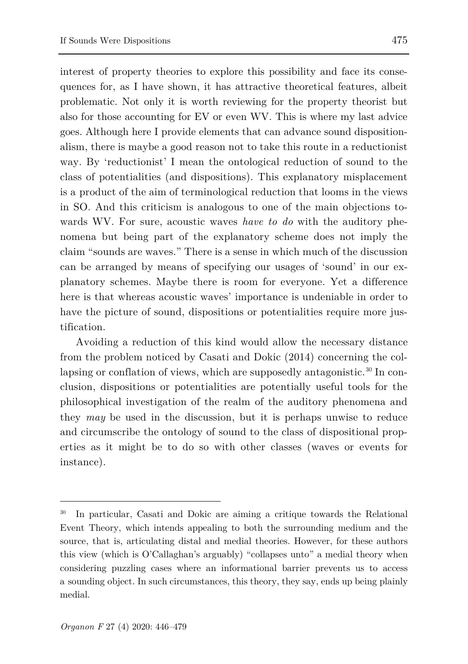interest of property theories to explore this possibility and face its consequences for, as I have shown, it has attractive theoretical features, albeit problematic. Not only it is worth reviewing for the property theorist but also for those accounting for EV or even WV. This is where my last advice goes. Although here I provide elements that can advance sound dispositionalism, there is maybe a good reason not to take this route in a reductionist way. By 'reductionist' I mean the ontological reduction of sound to the class of potentialities (and dispositions). This explanatory misplacement is a product of the aim of terminological reduction that looms in the views in SO. And this criticism is analogous to one of the main objections towards WV. For sure, acoustic waves *have to do* with the auditory phenomena but being part of the explanatory scheme does not imply the claim "sounds are waves." There is a sense in which much of the discussion can be arranged by means of specifying our usages of 'sound' in our explanatory schemes. Maybe there is room for everyone. Yet a difference here is that whereas acoustic waves' importance is undeniable in order to have the picture of sound, dispositions or potentialities require more justification.

Avoiding a reduction of this kind would allow the necessary distance from the problem noticed by Casati and Dokic (2014) concerning the collapsing or conflation of views, which are supposedly antagonistic. $30 \text{ In}$  $30 \text{ In}$  conclusion, dispositions or potentialities are potentially useful tools for the philosophical investigation of the realm of the auditory phenomena and they *may* be used in the discussion, but it is perhaps unwise to reduce and circumscribe the ontology of sound to the class of dispositional properties as it might be to do so with other classes (waves or events for instance).

<span id="page-29-0"></span><sup>30</sup> In particular, Casati and Dokic are aiming a critique towards the Relational Event Theory, which intends appealing to both the surrounding medium and the source, that is, articulating distal and medial theories. However, for these authors this view (which is O'Callaghan's arguably) "collapses unto" a medial theory when considering puzzling cases where an informational barrier prevents us to access a sounding object. In such circumstances, this theory, they say, ends up being plainly medial.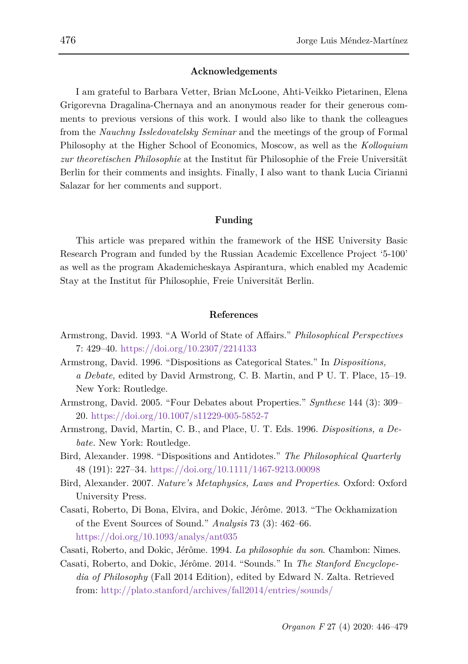#### **Acknowledgements**

I am grateful to Barbara Vetter, Brian McLoone, Ahti-Veikko Pietarinen, Elena Grigorevna Dragalina-Chernaya and an anonymous reader for their generous comments to previous versions of this work. I would also like to thank the colleagues from the *Nauchny Issledovatelsky Seminar* and the meetings of the group of Formal Philosophy at the Higher School of Economics, Moscow, as well as the *Kolloquium zur theoretischen Philosophie* at the Institut für Philosophie of the Freie Universität Berlin for their comments and insights. Finally, I also want to thank Lucia Cirianni Salazar for her comments and support.

### **Funding**

This article was prepared within the framework of the HSE University Basic Research Program and funded by the Russian Academic Excellence Project '5-100' as well as the program Akademicheskaya Aspirantura, which enabled my Academic Stay at the Institut für Philosophie, Freie Universität Berlin.

#### **References**

- Armstrong, David. 1993. "A World of State of Affairs." *Philosophical Perspectives*  7: 429–40. <https://doi.org/10.2307/2214133>
- Armstrong, David. 1996. "Dispositions as Categorical States." In *Dispositions, a Debate,* edited by David Armstrong, C. B. Martin, and P U. T. Place, 15–19. New York: Routledge.
- Armstrong, David. 2005. "Four Debates about Properties." *Synthese* 144 (3): 309– 20. <https://doi.org/10.1007/s11229-005-5852-7>
- Armstrong, David, Martin, C. B., and Place, U. T. Eds. 1996. *Dispositions, a Debate.* New York: Routledge.
- Bird, Alexander. 1998. "Dispositions and Antidotes." *The Philosophical Quarterly* 48 (191): 227–34. <https://doi.org/10.1111/1467-9213.00098>
- Bird, Alexander. 2007. *Nature's Metaphysics, Laws and Properties*. Oxford: Oxford University Press.
- Casati, Roberto, Di Bona, Elvira, and Dokic, Jérôme. 2013. "The Ockhamization of the Event Sources of Sound." *Analysis* 73 (3): 462–66. <https://doi.org/10.1093/analys/ant035>

Casati, Roberto, and Dokic, Jérôme. 1994. *La philosophie du son*. Chambon: Nimes.

Casati, Roberto, and Dokic, Jérôme. 2014. "Sounds." In *The Stanford Encyclopedia of Philosophy* (Fall 2014 Edition)*,* edited by Edward N. Zalta. Retrieved from:<http://plato.stanford/archives/fall2014/entries/sounds/>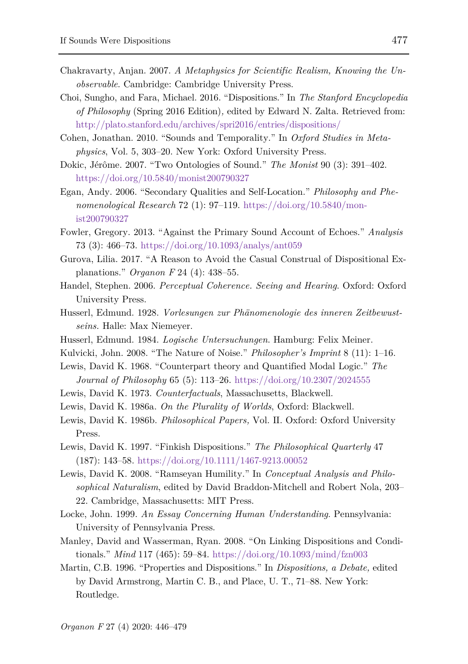- Chakravarty, Anjan. 2007. *A Metaphysics for Scientific Realism, Knowing the Unobservable*. Cambridge: Cambridge University Press.
- Choi, Sungho, and Fara, Michael. 2016. "Dispositions." In *The Stanford Encyclopedia of Philosophy* (Spring 2016 Edition)*,* edited by Edward N. Zalta. Retrieved from: <http://plato.stanford.edu/archives/spri2016/entries/dispositions/>
- Cohen, Jonathan. 2010. "Sounds and Temporality." In *Oxford Studies in Metaphysics*, Vol. 5, 303–20. New York: Oxford University Press.
- Dokic, Jérôme. 2007. "Two Ontologies of Sound." *The Monist* 90 (3): 391–402. <https://doi.org/10.5840/monist200790327>
- Egan, Andy. 2006. "Secondary Qualities and Self-Location." *Philosophy and Phenomenological Research* 72 (1): 97–119. [https://doi.org/10.5840/mon](https://doi.org/10.5840/monist200790327)[ist200790327](https://doi.org/10.5840/monist200790327)
- Fowler, Gregory. 2013. "Against the Primary Sound Account of Echoes." *Analysis* 73 (3): 466–73. <https://doi.org/10.1093/analys/ant059>
- Gurova, Lilia. 2017. "A Reason to Avoid the Casual Construal of Dispositional Explanations." *Organon F* 24 (4): 438–55.
- Handel, Stephen. 2006. *Perceptual Coherence. Seeing and Hearing*. Oxford: Oxford University Press.
- Husserl, Edmund. 1928. *Vorlesungen zur Phänomenologie des inneren Zeitbewustseins.* Halle: Max Niemeyer.
- Husserl, Edmund. 1984. *Logische Untersuchungen*. Hamburg: Felix Meiner.
- Kulvicki, John. 2008. "The Nature of Noise." *Philosopher's Imprint* 8 (11): 1–16.
- Lewis, David K. 1968. "Counterpart theory and Quantified Modal Logic." *The Journal of Philosophy* 65 (5): 113–26. <https://doi.org/10.2307/2024555>
- Lewis, David K. 1973. *Counterfactuals*, Massachusetts, Blackwell.
- Lewis, David K. 1986a. *On the Plurality of Worlds*, Oxford: Blackwell.
- Lewis, David K. 1986b. *Philosophical Papers,* Vol. II. Oxford: Oxford University Press.
- Lewis, David K. 1997. "Finkish Dispositions." *The Philosophical Quarterly* 47 (187): 143–58. <https://doi.org/10.1111/1467-9213.00052>
- Lewis, David K. 2008. "Ramseyan Humility." In *Conceptual Analysis and Philosophical Naturalism*, edited by David Braddon-Mitchell and Robert Nola, 203– 22. Cambridge, Massachusetts: MIT Press.
- Locke, John. 1999. *An Essay Concerning Human Understanding*. Pennsylvania: University of Pennsylvania Press.
- Manley, David and Wasserman, Ryan. 2008. "On Linking Dispositions and Conditionals." *Mind* 117 (465): 59–84. <https://doi.org/10.1093/mind/fzn003>
- Martin, C.B. 1996. "Properties and Dispositions." In *Dispositions, a Debate,* edited by David Armstrong, Martin C. B., and Place, U. T., 71–88. New York: Routledge.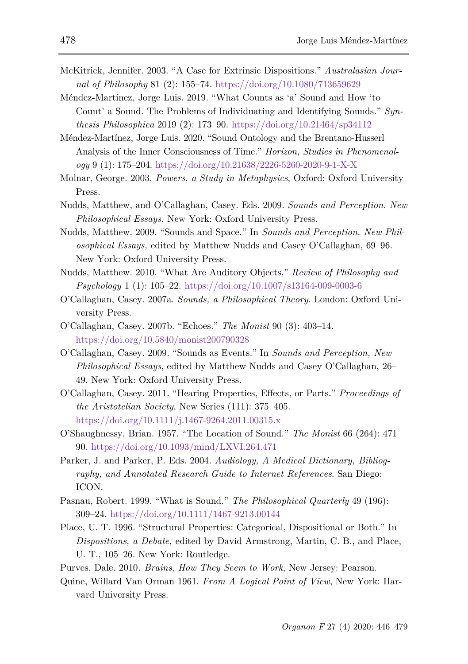- McKitrick, Jennifer. 2003. "A Case for Extrinsic Dispositions." *Australasian Journal of Philosophy* 81 (2): 155–74. <https://doi.org/10.1080/713659629>
- Méndez-Martínez, Jorge Luis. 2019. "What Counts as 'a' Sound and How 'to Count' a Sound. The Problems of Individuating and Identifying Sounds." *Synthesis Philosophica* 2019 (2): 173–90. <https://doi.org/10.21464/sp34112>
- Méndez-Martínez, Jorge Luis. 2020. "Sound Ontology and the Brentano-Husserl Analysis of the Inner Consciousness of Time." *Horizon, Studies in Phenomenology* 9 (1): 175–204. <https://doi.org/10.21638/2226-5260-2020-9-1-X-X>
- Molnar, George. 2003. *Powers, a Study in Metaphysics*, Oxford: Oxford University Press.
- Nudds, Matthew, and O'Callaghan, Casey. Eds. 2009. *Sounds and Perception. New Philosophical Essays.* New York: Oxford University Press.
- Nudds, Matthew. 2009. "Sounds and Space." In *Sounds and Perception. New Philosophical Essays,* edited by Matthew Nudds and Casey O'Callaghan, 69–96. New York: Oxford University Press.
- Nudds, Matthew. 2010. "What Are Auditory Objects." *Review of Philosophy and Psychology* 1 (1): 105–22. <https://doi.org/10.1007/s13164-009-0003-6>
- O'Callaghan, Casey. 2007a. *Sounds, a Philosophical Theory*. London: Oxford University Press.
- O'Callaghan, Casey. 2007b. "Echoes." *The Monist* 90 (3): 403–14. <https://doi.org/10.5840/monist200790328>
- O'Callaghan, Casey. 2009. "Sounds as Events." In *Sounds and Perception, New Philosophical Essays*, edited by Matthew Nudds and Casey O'Callaghan, 26– 49. New York: Oxford University Press.
- O'Callaghan, Casey. 2011. "Hearing Properties, Effects, or Parts." *Proceedings of the Aristotelian Society*, New Series (111): 375–405. <https://doi.org/10.1111/j.1467-9264.2011.00315.x>
- O'Shaughnessy, Brian. 1957. "The Location of Sound." *The Monist* 66 (264): 471– 90. <https://doi.org/10.1093/mind/LXVI.264.471>
- Parker, J. and Parker, P. Eds. 2004. *Audiology, A Medical Dictionary, Bibliography, and Annotated Research Guide to Internet References*. San Diego: ICON.
- Pasnau, Robert. 1999. "What is Sound." *The Philosophical Quarterly* 49 (196): 309–24. <https://doi.org/10.1111/1467-9213.00144>
- Place, U. T. 1996. "Structural Properties: Categorical, Dispositional or Both." In *Dispositions, a Debate,* edited by David Armstrong, Martin, C. B., and Place, U. T., 105–26. New York: Routledge.
- Purves, Dale. 2010*. Brains, How They Seem to Work*, New Jersey: Pearson.
- Quine, Willard Van Orman 1961. *From A Logical Point of View*, New York: Harvard University Press.